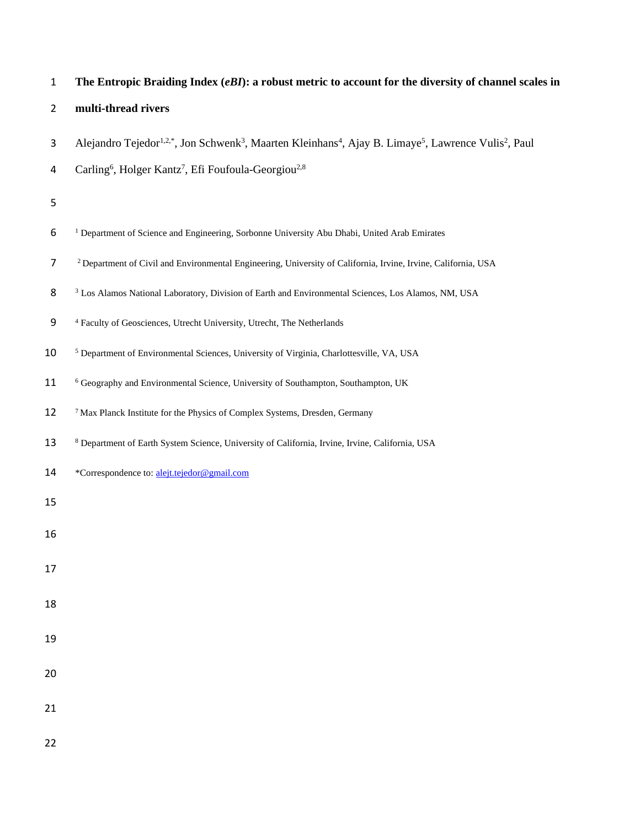| $\mathbf 1$    | The Entropic Braiding Index (eBI): a robust metric to account for the diversity of channel scales in                                                              |
|----------------|-------------------------------------------------------------------------------------------------------------------------------------------------------------------|
| $\overline{2}$ | multi-thread rivers                                                                                                                                               |
| 3              | Alejandro Tejedor <sup>1,2,*</sup> , Jon Schwenk <sup>3</sup> , Maarten Kleinhans <sup>4</sup> , Ajay B. Limaye <sup>5</sup> , Lawrence Vulis <sup>2</sup> , Paul |
| 4              | Carling <sup>6</sup> , Holger Kantz <sup>7</sup> , Efi Foufoula-Georgiou <sup>2,8</sup>                                                                           |
| 5              |                                                                                                                                                                   |
| 6              | <sup>1</sup> Department of Science and Engineering, Sorbonne University Abu Dhabi, United Arab Emirates                                                           |
| $\overline{7}$ | <sup>2</sup> Department of Civil and Environmental Engineering, University of California, Irvine, Irvine, California, USA                                         |
| 8              | <sup>3</sup> Los Alamos National Laboratory, Division of Earth and Environmental Sciences, Los Alamos, NM, USA                                                    |
| 9              | <sup>4</sup> Faculty of Geosciences, Utrecht University, Utrecht, The Netherlands                                                                                 |
| 10             | <sup>5</sup> Department of Environmental Sciences, University of Virginia, Charlottesville, VA, USA                                                               |
| 11             | <sup>6</sup> Geography and Environmental Science, University of Southampton, Southampton, UK                                                                      |
| 12             | <sup>7</sup> Max Planck Institute for the Physics of Complex Systems, Dresden, Germany                                                                            |
| 13             | <sup>8</sup> Department of Earth System Science, University of California, Irvine, Irvine, California, USA                                                        |
| 14             | *Correspondence to: alejt.tejedor@gmail.com                                                                                                                       |
| 15             |                                                                                                                                                                   |
| 16             |                                                                                                                                                                   |
| 17             |                                                                                                                                                                   |
| 18             |                                                                                                                                                                   |
| 19             |                                                                                                                                                                   |
|                |                                                                                                                                                                   |
| 20             |                                                                                                                                                                   |
| 21             |                                                                                                                                                                   |
| 22             |                                                                                                                                                                   |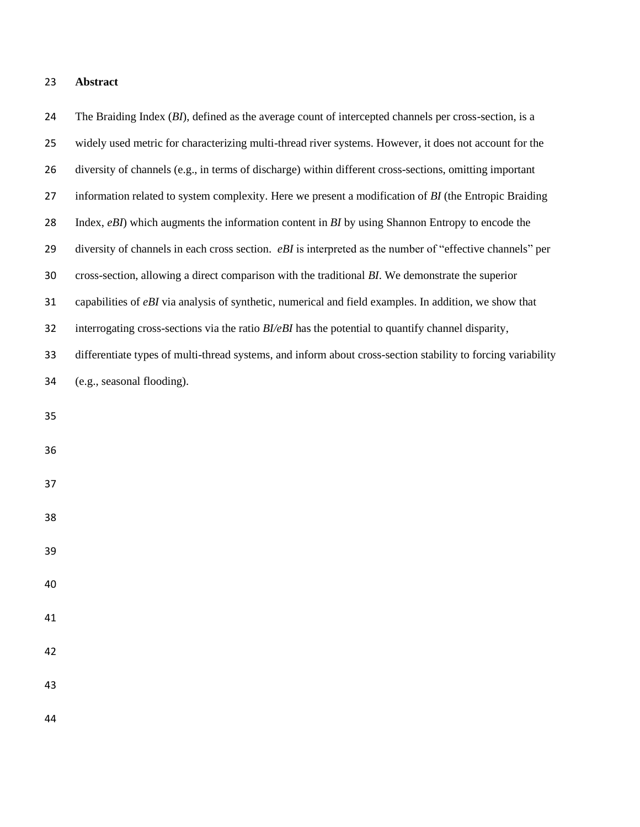## **Abstract**

 The Braiding Index (*BI*), defined as the average count of intercepted channels per cross-section, is a widely used metric for characterizing multi-thread river systems. However, it does not account for the diversity of channels (e.g., in terms of discharge) within different cross-sections, omitting important information related to system complexity. Here we present a modification of *BI* (the Entropic Braiding Index, *eBI*) which augments the information content in *BI* by using Shannon Entropy to encode the diversity of channels in each cross section. *eBI* is interpreted as the number of "effective channels" per cross-section, allowing a direct comparison with the traditional *BI*. We demonstrate the superior capabilities of *eBI* via analysis of synthetic, numerical and field examples. In addition, we show that interrogating cross-sections via the ratio *BI/eBI* has the potential to quantify channel disparity, differentiate types of multi-thread systems, and inform about cross-section stability to forcing variability (e.g., seasonal flooding).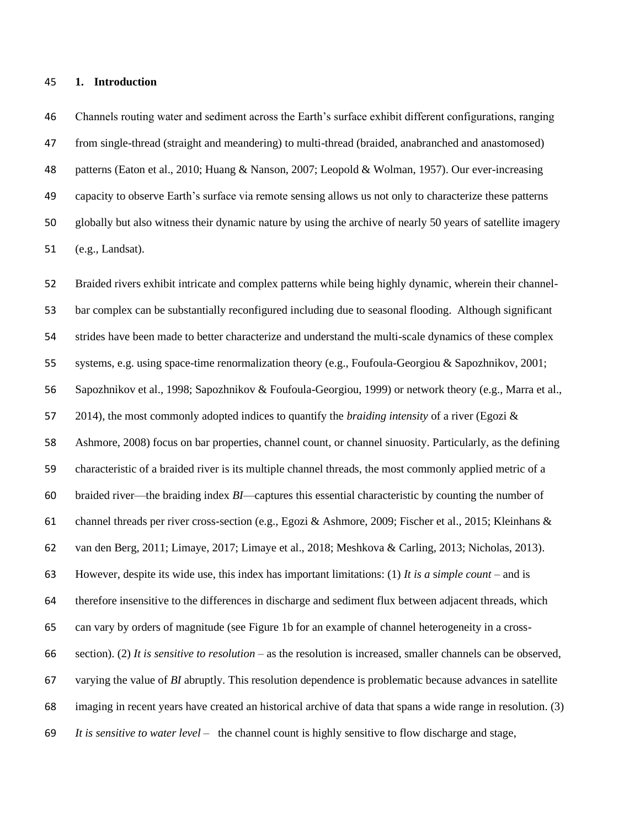#### **1. Introduction**

 Channels routing water and sediment across the Earth's surface exhibit different configurations, ranging from single-thread (straight and meandering) to multi-thread (braided, anabranched and anastomosed) patterns (Eaton et al., 2010; Huang & Nanson, 2007; Leopold & Wolman, 1957). Our ever-increasing capacity to observe Earth's surface via remote sensing allows us not only to characterize these patterns globally but also witness their dynamic nature by using the archive of nearly 50 years of satellite imagery (e.g., Landsat).

 Braided rivers exhibit intricate and complex patterns while being highly dynamic, wherein their channel- bar complex can be substantially reconfigured including due to seasonal flooding. Although significant strides have been made to better characterize and understand the multi-scale dynamics of these complex systems, e.g. using space-time renormalization theory (e.g., Foufoula-Georgiou & Sapozhnikov, 2001; Sapozhnikov et al., 1998; Sapozhnikov & Foufoula-Georgiou, 1999) or network theory (e.g., Marra et al., 2014), the most commonly adopted indices to quantify the *braiding intensity* of a river (Egozi & Ashmore, 2008) focus on bar properties, channel count, or channel sinuosity. Particularly, as the defining characteristic of a braided river is its multiple channel threads, the most commonly applied metric of a braided river—the braiding index *BI*—captures this essential characteristic by counting the number of channel threads per river cross-section (e.g., Egozi & Ashmore, 2009; Fischer et al., 2015; Kleinhans & van den Berg, 2011; Limaye, 2017; Limaye et al., 2018; Meshkova & Carling, 2013; Nicholas, 2013). However, despite its wide use, this index has important limitations: (1) *It is a* s*imple count* – and is therefore insensitive to the differences in discharge and sediment flux between adjacent threads, which can vary by orders of magnitude (see Figure 1b for an example of channel heterogeneity in a cross- section). (2) *It is sensitive to resolution* – as the resolution is increased, smaller channels can be observed, varying the value of *BI* abruptly. This resolution dependence is problematic because advances in satellite imaging in recent years have created an historical archive of data that spans a wide range in resolution. (3) *It is sensitive to water level* – the channel count is highly sensitive to flow discharge and stage,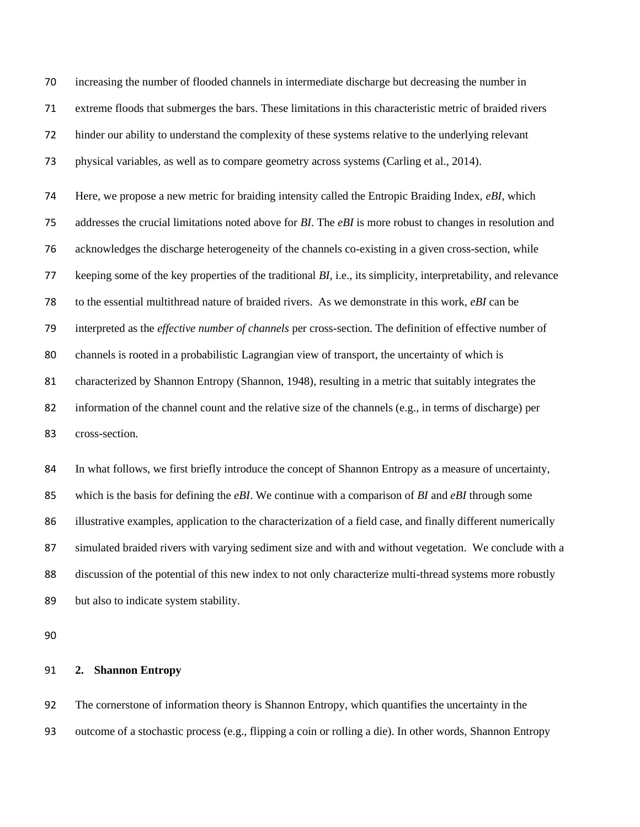increasing the number of flooded channels in intermediate discharge but decreasing the number in extreme floods that submerges the bars. These limitations in this characteristic metric of braided rivers hinder our ability to understand the complexity of these systems relative to the underlying relevant physical variables, as well as to compare geometry across systems (Carling et al., 2014).

 Here, we propose a new metric for braiding intensity called the Entropic Braiding Index, *eBI*, which addresses the crucial limitations noted above for *BI*. The *eBI* is more robust to changes in resolution and acknowledges the discharge heterogeneity of the channels co-existing in a given cross-section, while keeping some of the key properties of the traditional *BI*, i.e., its simplicity, interpretability, and relevance to the essential multithread nature of braided rivers. As we demonstrate in this work, *eBI* can be interpreted as the *effective number of channels* per cross-section. The definition of effective number of channels is rooted in a probabilistic Lagrangian view of transport, the uncertainty of which is characterized by Shannon Entropy (Shannon, 1948), resulting in a metric that suitably integrates the information of the channel count and the relative size of the channels (e.g., in terms of discharge) per cross-section.

 In what follows, we first briefly introduce the concept of Shannon Entropy as a measure of uncertainty, which is the basis for defining the *eBI*. We continue with a comparison of *BI* and *eBI* through some illustrative examples, application to the characterization of a field case, and finally different numerically simulated braided rivers with varying sediment size and with and without vegetation. We conclude with a discussion of the potential of this new index to not only characterize multi-thread systems more robustly but also to indicate system stability.

## **2. Shannon Entropy**

 The cornerstone of information theory is Shannon Entropy, which quantifies the uncertainty in the outcome of a stochastic process (e.g., flipping a coin or rolling a die). In other words, Shannon Entropy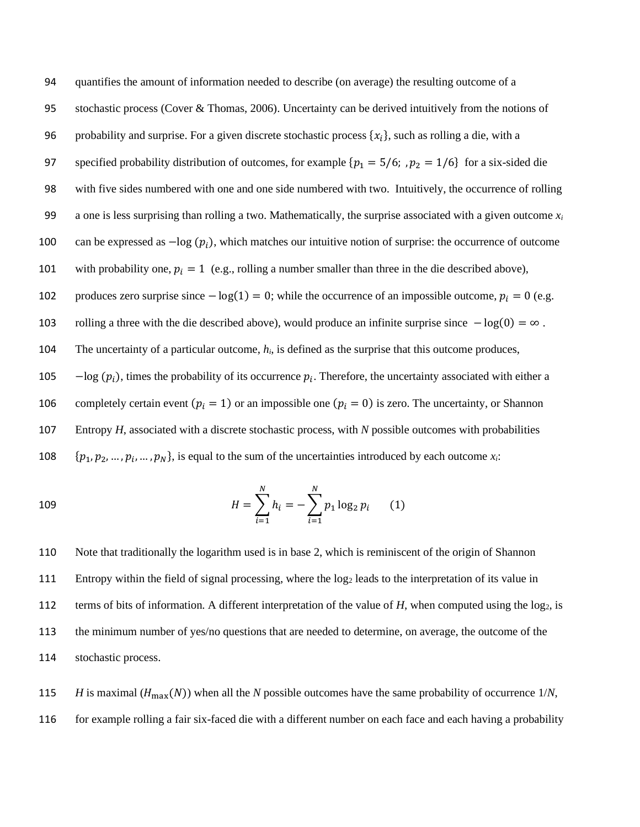95 stochastic process (Cover & Thomas, 2006). Uncertainty can be derived intuitively from the notions of 96 probability and surprise. For a given discrete stochastic process  $\{x_i\}$ , such as rolling a die, with a 97 specified probability distribution of outcomes, for example  $\{p_1 = 5/6; p_2 = 1/6\}$  for a six-sided die 98 with five sides numbered with one and one side numbered with two. Intuitively, the occurrence of rolling 99 a one is less surprising than rolling a two. Mathematically, the surprise associated with a given outcome  $x_i$ 100 can be expressed as  $-\log (p_i)$ , which matches our intuitive notion of surprise: the occurrence of outcome 101 with probability one,  $p_i = 1$  (e.g., rolling a number smaller than three in the die described above), 102 produces zero surprise since  $-\log(1) = 0$ ; while the occurrence of an impossible outcome,  $p_i = 0$  (e.g. 103 rolling a three with the die described above), would produce an infinite surprise since − log(0) = ∞ . 104 The uncertainty of a particular outcome, *hi*, is defined as the surprise that this outcome produces,  $-$ log ( $p_i$ ), times the probability of its occurrence  $p_i$ . Therefore, the uncertainty associated with either a 106 completely certain event ( $p_i = 1$ ) or an impossible one ( $p_i = 0$ ) is zero. The uncertainty, or Shannon 107 Entropy *H*, associated with a discrete stochastic process, with *N* possible outcomes with probabilities 108  $\{p_1, p_2, \ldots, p_i, \ldots, p_N\}$ , is equal to the sum of the uncertainties introduced by each outcome  $x_i$ :

109 
$$
H = \sum_{i=1}^{N} h_i = -\sum_{i=1}^{N} p_1 \log_2 p_i \qquad (1)
$$

 Note that traditionally the logarithm used is in base 2, which is reminiscent of the origin of Shannon Entropy within the field of signal processing, where the log<sup>2</sup> leads to the interpretation of its value in 112 terms of bits of information. A different interpretation of the value of *H*, when computed using the log<sub>2</sub>, is the minimum number of yes/no questions that are needed to determine, on average, the outcome of the stochastic process.

115 *H* is maximal ( $H_{\text{max}}(N)$ ) when all the *N* possible outcomes have the same probability of occurrence 1/*N*, 116 for example rolling a fair six-faced die with a different number on each face and each having a probability

94 quantifies the amount of information needed to describe (on average) the resulting outcome of a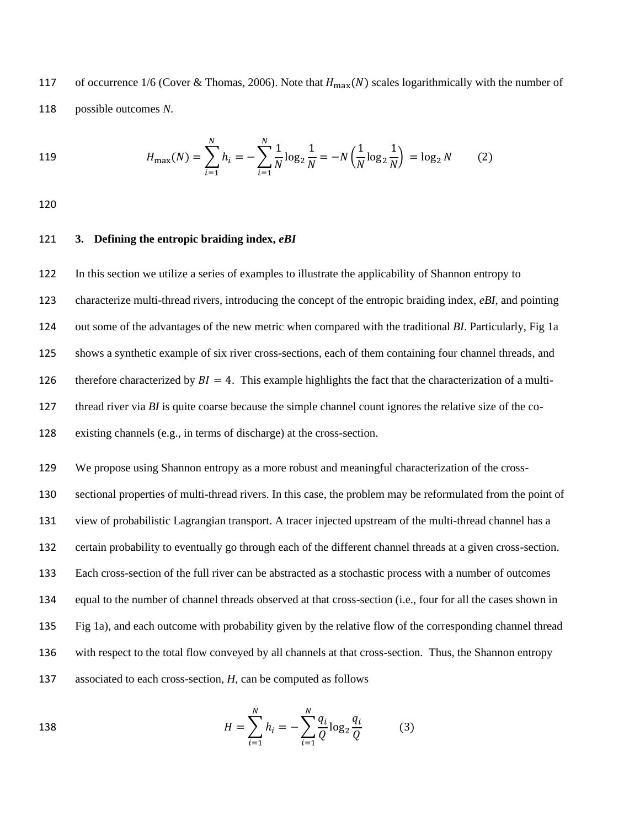117 of occurrence 1/6 (Cover & Thomas, 2006). Note that  $H_{\text{max}}(N)$  scales logarithmically with the number of 118 possible outcomes *N*.

119 
$$
H_{\max}(N) = \sum_{i=1}^{N} h_i = -\sum_{i=1}^{N} \frac{1}{N} \log_2 \frac{1}{N} = -N \left( \frac{1}{N} \log_2 \frac{1}{N} \right) = \log_2 N
$$
 (2)

120

# 121 **3. Defining the entropic braiding index,** *eBI*

 In this section we utilize a series of examples to illustrate the applicability of Shannon entropy to characterize multi-thread rivers, introducing the concept of the entropic braiding index, *eBI*, and pointing out some of the advantages of the new metric when compared with the traditional *BI*. Particularly, Fig 1a shows a synthetic example of six river cross-sections, each of them containing four channel threads, and 126 therefore characterized by  $BI = 4$ . This example highlights the fact that the characterization of a multi-127 thread river via *BI* is quite coarse because the simple channel count ignores the relative size of the co-existing channels (e.g., in terms of discharge) at the cross-section.

 We propose using Shannon entropy as a more robust and meaningful characterization of the cross- sectional properties of multi-thread rivers. In this case, the problem may be reformulated from the point of view of probabilistic Lagrangian transport. A tracer injected upstream of the multi-thread channel has a certain probability to eventually go through each of the different channel threads at a given cross-section. Each cross-section of the full river can be abstracted as a stochastic process with a number of outcomes equal to the number of channel threads observed at that cross-section (i.e., four for all the cases shown in Fig 1a), and each outcome with probability given by the relative flow of the corresponding channel thread with respect to the total flow conveyed by all channels at that cross-section. Thus, the Shannon entropy associated to each cross-section, *H*, can be computed as follows

138 
$$
H = \sum_{i=1}^{N} h_i = -\sum_{i=1}^{N} \frac{q_i}{Q} \log_2 \frac{q_i}{Q}
$$
 (3)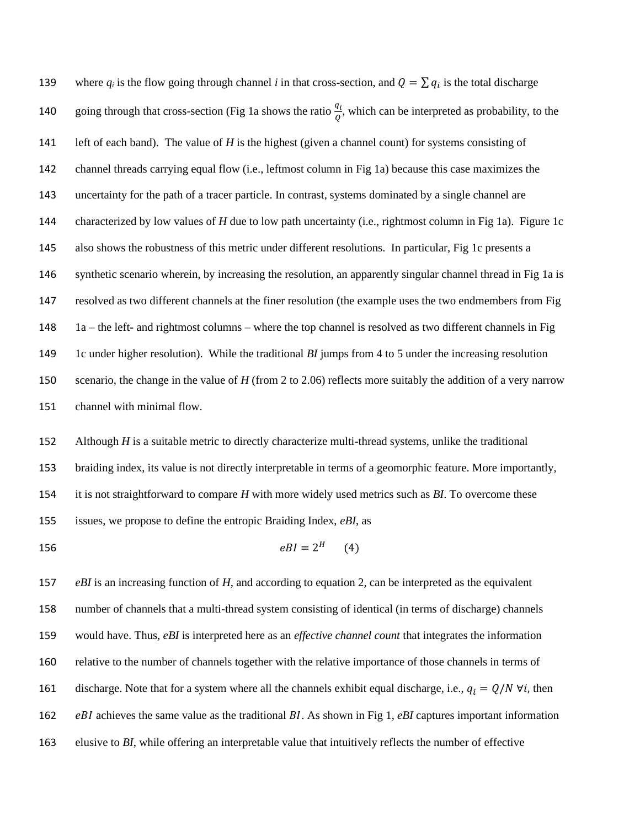where  $q_i$  is the flow going through channel *i* in that cross-section, and  $Q = \sum q_i$  is the total discharge 140 going through that cross-section (Fig 1a shows the ratio  $\frac{q_i}{q}$ , which can be interpreted as probability, to the left of each band). The value of *H* is the highest (given a channel count) for systems consisting of channel threads carrying equal flow (i.e., leftmost column in Fig 1a) because this case maximizes the uncertainty for the path of a tracer particle. In contrast, systems dominated by a single channel are characterized by low values of *H* due to low path uncertainty (i.e., rightmost column in Fig 1a). Figure 1c also shows the robustness of this metric under different resolutions. In particular, Fig 1c presents a synthetic scenario wherein, by increasing the resolution, an apparently singular channel thread in Fig 1a is resolved as two different channels at the finer resolution (the example uses the two endmembers from Fig 1a – the left- and rightmost columns – where the top channel is resolved as two different channels in Fig 1c under higher resolution). While the traditional *BI* jumps from 4 to 5 under the increasing resolution scenario, the change in the value of *H* (from 2 to 2.06) reflects more suitably the addition of a very narrow channel with minimal flow.

152 Although *H* is a suitable metric to directly characterize multi-thread systems, unlike the traditional braiding index, its value is not directly interpretable in terms of a geomorphic feature. More importantly, it is not straightforward to compare *H* with more widely used metrics such as *BI*. To overcome these issues, we propose to define the entropic Braiding Index, *eBI*, as

$$
eBI = 2^H \tag{4}
$$

 *eBI* is an increasing function of *H*, and according to equation 2, can be interpreted as the equivalent number of channels that a multi-thread system consisting of identical (in terms of discharge) channels would have. Thus, *eBI* is interpreted here as an *effective channel count* that integrates the information relative to the number of channels together with the relative importance of those channels in terms of 161 discharge. Note that for a system where all the channels exhibit equal discharge, i.e.,  $q_i = Q/N \forall i$ , then  $eBI$  achieves the same value as the traditional  $BI$ . As shown in Fig 1,  $eBI$  captures important information elusive to *BI*, while offering an interpretable value that intuitively reflects the number of effective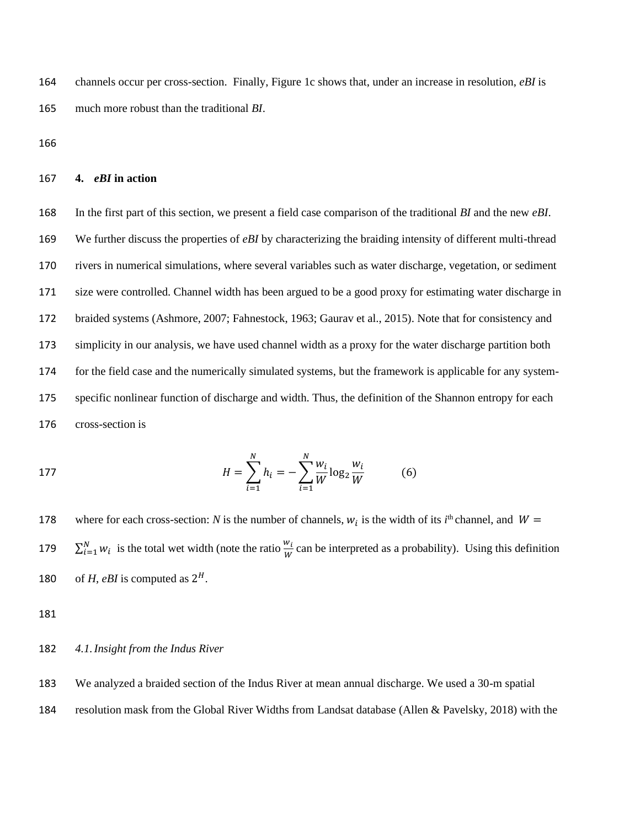164 channels occur per cross-section. Finally, Figure 1c shows that, under an increase in resolution, *eBI* is 165 much more robust than the traditional *BI*.

166

# 167 **4.** *eBI* **in action**

 In the first part of this section, we present a field case comparison of the traditional *BI* and the new *eBI*. We further discuss the properties of *eBI* by characterizing the braiding intensity of different multi-thread rivers in numerical simulations, where several variables such as water discharge, vegetation, or sediment size were controlled. Channel width has been argued to be a good proxy for estimating water discharge in braided systems (Ashmore, 2007; Fahnestock, 1963; Gaurav et al., 2015). Note that for consistency and simplicity in our analysis, we have used channel width as a proxy for the water discharge partition both for the field case and the numerically simulated systems, but the framework is applicable for any system- specific nonlinear function of discharge and width. Thus, the definition of the Shannon entropy for each cross-section is

177 
$$
H = \sum_{i=1}^{N} h_i = -\sum_{i=1}^{N} \frac{w_i}{W} \log_2 \frac{w_i}{W}
$$
 (6)

178 where for each cross-section: *N* is the number of channels,  $w_i$  is the width of its *i*<sup>th</sup> channel, and  $W =$ 179  $\sum_{i=1}^{N} w_i$  is the total wet width (note the ratio  $\frac{w_i}{w}$  can be interpreted as a probability). Using this definition 180 of *H*, *eBI* is computed as  $2^H$ .

181

# 182 *4.1.Insight from the Indus River*

183 We analyzed a braided section of the Indus River at mean annual discharge. We used a 30-m spatial

184 resolution mask from the Global River Widths from Landsat database (Allen & Pavelsky, 2018) with the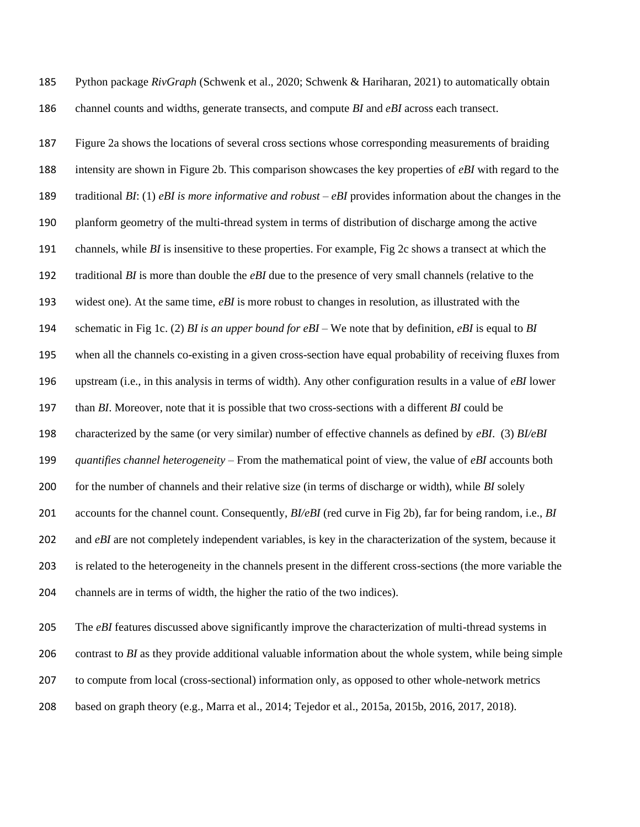Python package *RivGraph* (Schwenk et al., 2020; Schwenk & Hariharan, 2021) to automatically obtain channel counts and widths, generate transects, and compute *BI* and *eBI* across each transect.

 Figure 2a shows the locations of several cross sections whose corresponding measurements of braiding intensity are shown in Figure 2b. This comparison showcases the key properties of *eBI* with regard to the traditional *BI*: (1) *eBI is more informative and robust* – *eBI* provides information about the changes in the planform geometry of the multi-thread system in terms of distribution of discharge among the active channels, while *BI* is insensitive to these properties. For example, Fig 2c shows a transect at which the traditional *BI* is more than double the *eBI* due to the presence of very small channels (relative to the widest one). At the same time, *eBI* is more robust to changes in resolution, as illustrated with the schematic in Fig 1c. (2) *BI is an upper bound for eBI* – We note that by definition, *eBI* is equal to *BI* when all the channels co-existing in a given cross-section have equal probability of receiving fluxes from upstream (i.e., in this analysis in terms of width). Any other configuration results in a value of *eBI* lower than *BI*. Moreover, note that it is possible that two cross-sections with a different *BI* could be characterized by the same (or very similar) number of effective channels as defined by *eBI*. (3) *BI/eBI quantifies channel heterogeneity* – From the mathematical point of view, the value of *eBI* accounts both for the number of channels and their relative size (in terms of discharge or width), while *BI* solely accounts for the channel count. Consequently, *BI/eBI* (red curve in Fig 2b), far for being random, i.e., *BI* 202 and *eBI* are not completely independent variables, is key in the characterization of the system, because it is related to the heterogeneity in the channels present in the different cross-sections (the more variable the channels are in terms of width, the higher the ratio of the two indices).

 The *eBI* features discussed above significantly improve the characterization of multi-thread systems in contrast to *BI* as they provide additional valuable information about the whole system, while being simple to compute from local (cross-sectional) information only, as opposed to other whole-network metrics based on graph theory (e.g., Marra et al., 2014; Tejedor et al., 2015a, 2015b, 2016, 2017, 2018).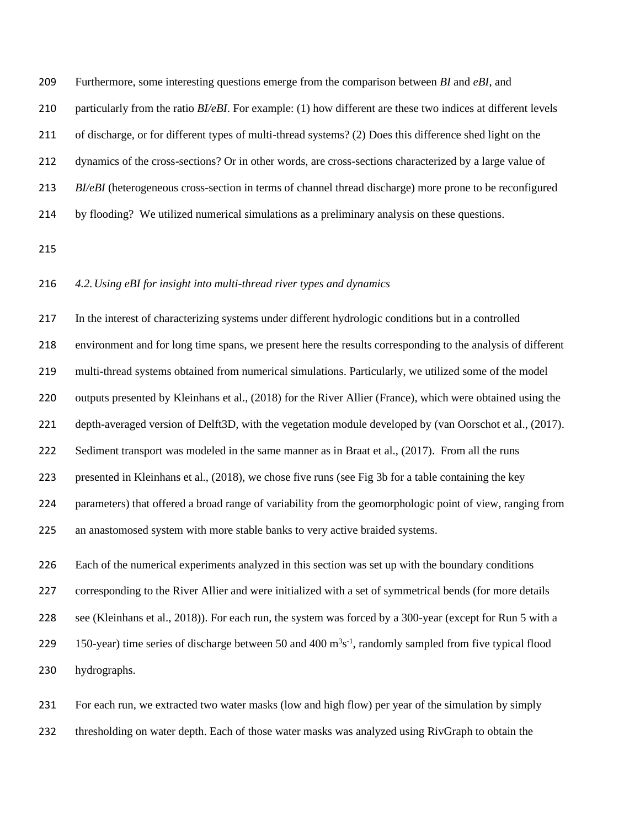Furthermore, some interesting questions emerge from the comparison between *BI* and *eBI*, and

particularly from the ratio *BI/eBI*. For example: (1) how different are these two indices at different levels

of discharge, or for different types of multi-thread systems? (2) Does this difference shed light on the

dynamics of the cross-sections? Or in other words, are cross-sections characterized by a large value of

*BI/eBI* (heterogeneous cross-section in terms of channel thread discharge) more prone to be reconfigured

by flooding? We utilized numerical simulations as a preliminary analysis on these questions.

### *4.2.Using eBI for insight into multi-thread river types and dynamics*

 In the interest of characterizing systems under different hydrologic conditions but in a controlled environment and for long time spans, we present here the results corresponding to the analysis of different multi-thread systems obtained from numerical simulations. Particularly, we utilized some of the model outputs presented by Kleinhans et al., (2018) for the River Allier (France), which were obtained using the depth-averaged version of Delft3D, with the vegetation module developed by (van Oorschot et al., (2017). 222 Sediment transport was modeled in the same manner as in Braat et al., (2017). From all the runs presented in Kleinhans et al., (2018), we chose five runs (see Fig 3b for a table containing the key parameters) that offered a broad range of variability from the geomorphologic point of view, ranging from an anastomosed system with more stable banks to very active braided systems.

 Each of the numerical experiments analyzed in this section was set up with the boundary conditions corresponding to the River Allier and were initialized with a set of symmetrical bends (for more details see (Kleinhans et al., 2018)). For each run, the system was forced by a 300-year (except for Run 5 with a 229 150-year) time series of discharge between 50 and 400  $m<sup>3</sup>s<sup>-1</sup>$ , randomly sampled from five typical flood hydrographs.

 For each run, we extracted two water masks (low and high flow) per year of the simulation by simply thresholding on water depth. Each of those water masks was analyzed using RivGraph to obtain the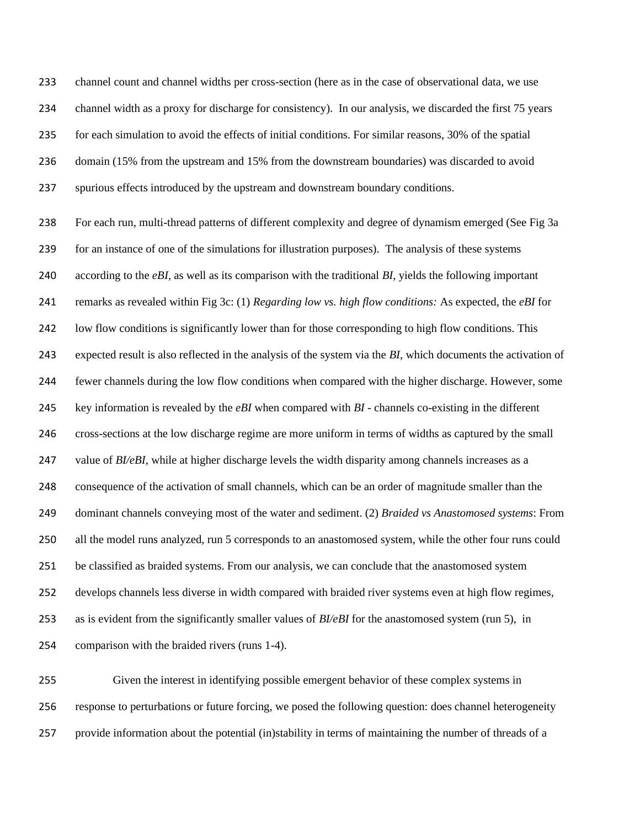channel count and channel widths per cross-section (here as in the case of observational data, we use channel width as a proxy for discharge for consistency). In our analysis, we discarded the first 75 years for each simulation to avoid the effects of initial conditions. For similar reasons, 30% of the spatial domain (15% from the upstream and 15% from the downstream boundaries) was discarded to avoid spurious effects introduced by the upstream and downstream boundary conditions.

 For each run, multi-thread patterns of different complexity and degree of dynamism emerged (See Fig 3a for an instance of one of the simulations for illustration purposes). The analysis of these systems according to the *eBI*, as well as its comparison with the traditional *BI,* yields the following important remarks as revealed within Fig 3c: (1) *Regarding low vs. high flow conditions:* As expected, the *eBI* for low flow conditions is significantly lower than for those corresponding to high flow conditions. This expected result is also reflected in the analysis of the system via the *BI*, which documents the activation of fewer channels during the low flow conditions when compared with the higher discharge. However, some key information is revealed by the *eBI* when compared with *BI* - channels co-existing in the different cross-sections at the low discharge regime are more uniform in terms of widths as captured by the small 247 value of *BI/eBI*, while at higher discharge levels the width disparity among channels increases as a consequence of the activation of small channels, which can be an order of magnitude smaller than the dominant channels conveying most of the water and sediment. (2) *Braided vs Anastomosed systems*: From all the model runs analyzed, run 5 corresponds to an anastomosed system, while the other four runs could be classified as braided systems. From our analysis, we can conclude that the anastomosed system develops channels less diverse in width compared with braided river systems even at high flow regimes, as is evident from the significantly smaller values of *BI/eBI* for the anastomosed system (run 5), in comparison with the braided rivers (runs 1-4).

 Given the interest in identifying possible emergent behavior of these complex systems in response to perturbations or future forcing, we posed the following question: does channel heterogeneity provide information about the potential (in)stability in terms of maintaining the number of threads of a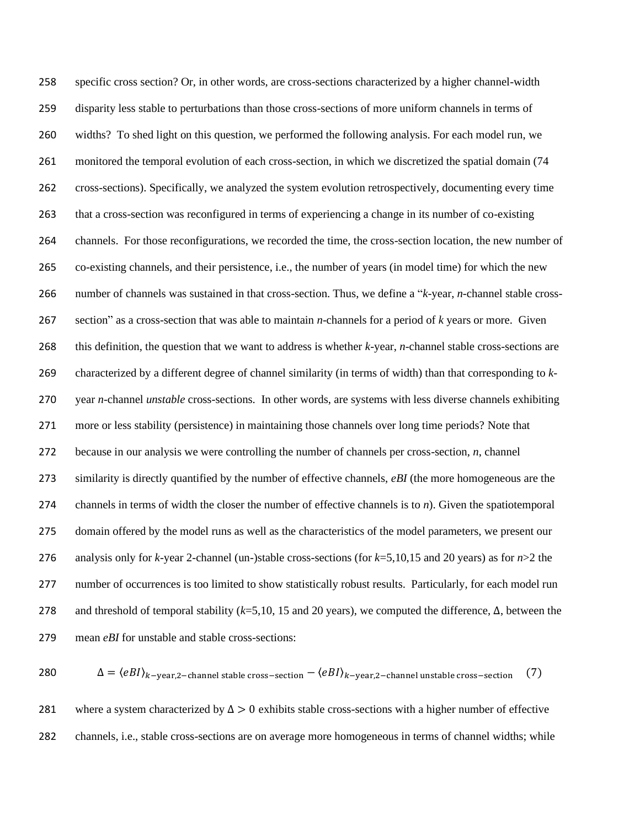specific cross section? Or, in other words, are cross-sections characterized by a higher channel-width disparity less stable to perturbations than those cross-sections of more uniform channels in terms of widths? To shed light on this question, we performed the following analysis. For each model run, we monitored the temporal evolution of each cross-section, in which we discretized the spatial domain (74 cross-sections). Specifically, we analyzed the system evolution retrospectively, documenting every time that a cross-section was reconfigured in terms of experiencing a change in its number of co-existing channels. For those reconfigurations, we recorded the time, the cross-section location, the new number of co-existing channels, and their persistence, i.e., the number of years (in model time) for which the new number of channels was sustained in that cross-section. Thus, we define a "*k*-year, *n*-channel stable cross- section" as a cross-section that was able to maintain *n*-channels for a period of *k* years or more. Given this definition, the question that we want to address is whether *k*-year, *n*-channel stable cross-sections are characterized by a different degree of channel similarity (in terms of width) than that corresponding to *k*- year *n*-channel *unstable* cross-sections. In other words, are systems with less diverse channels exhibiting more or less stability (persistence) in maintaining those channels over long time periods? Note that because in our analysis we were controlling the number of channels per cross-section, *n*, channel similarity is directly quantified by the number of effective channels, *eBI* (the more homogeneous are the channels in terms of width the closer the number of effective channels is to *n*). Given the spatiotemporal domain offered by the model runs as well as the characteristics of the model parameters, we present our analysis only for *k*-year 2-channel (un-)stable cross-sections (for *k*=5,10,15 and 20 years) as for *n*>2 the number of occurrences is too limited to show statistically robust results. Particularly, for each model run and threshold of temporal stability (*k*=5,10, 15 and 20 years), we computed the difference, Δ, between the mean *eBI* for unstable and stable cross-sections:

280 
$$
\Delta = \langle eBI \rangle_{k-\text{year},2-\text{channel stable cross-section}} - \langle eBI \rangle_{k-\text{year},2-\text{channel unstable cross-section}}
$$
 (7)

281 where a system characterized by  $\Delta > 0$  exhibits stable cross-sections with a higher number of effective channels, i.e., stable cross-sections are on average more homogeneous in terms of channel widths; while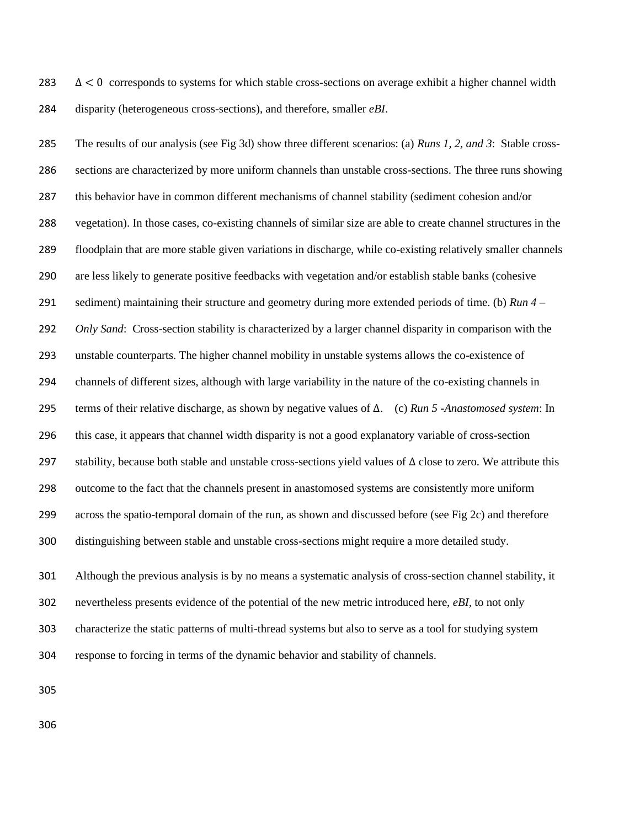283  $\Delta < 0$  corresponds to systems for which stable cross-sections on average exhibit a higher channel width disparity (heterogeneous cross-sections), and therefore, smaller *eBI*.

 The results of our analysis (see Fig 3d) show three different scenarios: (a) *Runs 1, 2, and 3*: Stable cross- sections are characterized by more uniform channels than unstable cross-sections. The three runs showing this behavior have in common different mechanisms of channel stability (sediment cohesion and/or vegetation). In those cases, co-existing channels of similar size are able to create channel structures in the floodplain that are more stable given variations in discharge, while co-existing relatively smaller channels are less likely to generate positive feedbacks with vegetation and/or establish stable banks (cohesive sediment) maintaining their structure and geometry during more extended periods of time. (b) *Run 4 – Only Sand*: Cross-section stability is characterized by a larger channel disparity in comparison with the unstable counterparts. The higher channel mobility in unstable systems allows the co-existence of channels of different sizes, although with large variability in the nature of the co-existing channels in terms of their relative discharge, as shown by negative values of Δ. (c) *Run 5 -Anastomosed system*: In this case, it appears that channel width disparity is not a good explanatory variable of cross-section stability, because both stable and unstable cross-sections yield values of Δ close to zero*.* We attribute this outcome to the fact that the channels present in anastomosed systems are consistently more uniform across the spatio-temporal domain of the run, as shown and discussed before (see Fig 2c) and therefore distinguishing between stable and unstable cross-sections might require a more detailed study.

 Although the previous analysis is by no means a systematic analysis of cross-section channel stability, it nevertheless presents evidence of the potential of the new metric introduced here, *eBI,* to not only characterize the static patterns of multi-thread systems but also to serve as a tool for studying system response to forcing in terms of the dynamic behavior and stability of channels.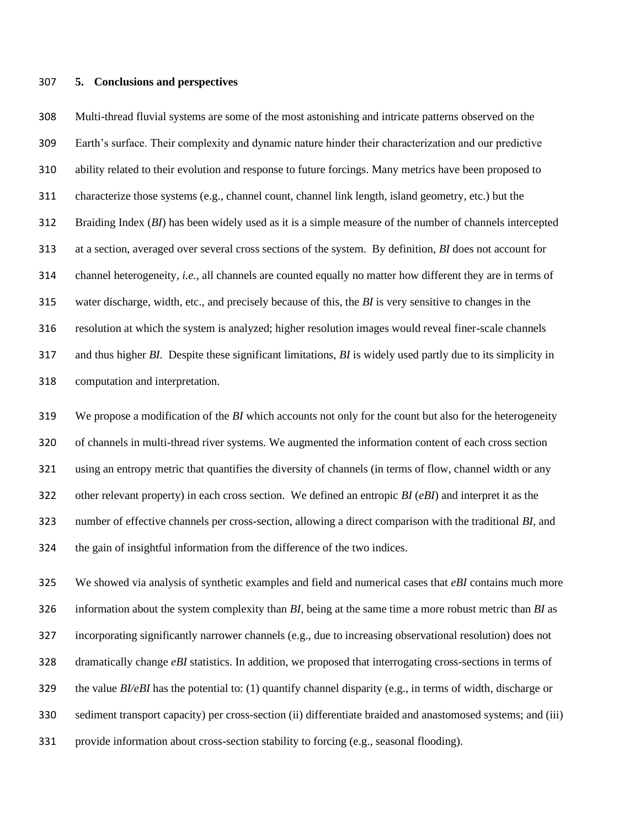#### **5. Conclusions and perspectives**

 Multi-thread fluvial systems are some of the most astonishing and intricate patterns observed on the Earth's surface. Their complexity and dynamic nature hinder their characterization and our predictive ability related to their evolution and response to future forcings. Many metrics have been proposed to characterize those systems (e.g., channel count, channel link length, island geometry, etc.) but the Braiding Index (*BI*) has been widely used as it is a simple measure of the number of channels intercepted at a section, averaged over several cross sections of the system. By definition, *BI* does not account for channel heterogeneity, *i.e.,* all channels are counted equally no matter how different they are in terms of water discharge, width, etc., and precisely because of this, the *BI* is very sensitive to changes in the resolution at which the system is analyzed; higher resolution images would reveal finer-scale channels and thus higher *BI.* Despite these significant limitations, *BI* is widely used partly due to its simplicity in computation and interpretation.

 We propose a modification of the *BI* which accounts not only for the count but also for the heterogeneity of channels in multi-thread river systems. We augmented the information content of each cross section using an entropy metric that quantifies the diversity of channels (in terms of flow, channel width or any other relevant property) in each cross section. We defined an entropic *BI* (*eBI*) and interpret it as the number of effective channels per cross-section, allowing a direct comparison with the traditional *BI*, and the gain of insightful information from the difference of the two indices.

 We showed via analysis of synthetic examples and field and numerical cases that *eBI* contains much more information about the system complexity than *BI,* being at the same time a more robust metric than *BI* as incorporating significantly narrower channels (e.g., due to increasing observational resolution) does not dramatically change *eBI* statistics. In addition, we proposed that interrogating cross-sections in terms of the value *BI/eBI* has the potential to: (1) quantify channel disparity (e.g., in terms of width, discharge or sediment transport capacity) per cross-section (ii) differentiate braided and anastomosed systems; and (iii) provide information about cross-section stability to forcing (e.g., seasonal flooding).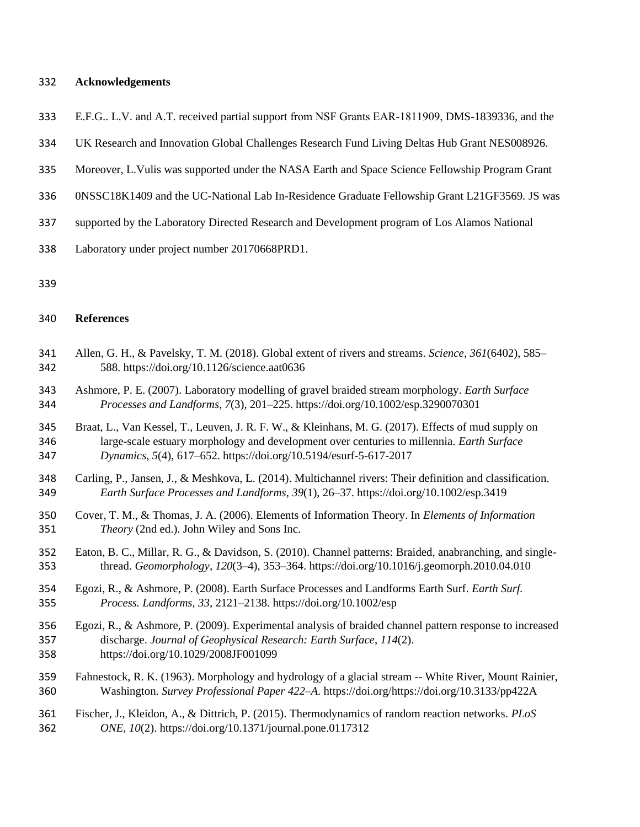#### **Acknowledgements**

- E.F.G.. L.V. and A.T. received partial support from NSF Grants EAR‐1811909, DMS-1839336, and the
- UK Research and Innovation Global Challenges Research Fund Living Deltas Hub Grant NES008926.
- Moreover, L.Vulis was supported under the NASA Earth and Space Science Fellowship Program Grant
- 0NSSC18K1409 and the UC-National Lab In-Residence Graduate Fellowship Grant L21GF3569. JS was
- supported by the Laboratory Directed Research and Development program of Los Alamos National
- Laboratory under project number 20170668PRD1.

#### **References**

- Allen, G. H., & Pavelsky, T. M. (2018). Global extent of rivers and streams. *Science*, *361*(6402), 585– 588. https://doi.org/10.1126/science.aat0636
- Ashmore, P. E. (2007). Laboratory modelling of gravel braided stream morphology. *Earth Surface Processes and Landforms*, *7*(3), 201–225. https://doi.org/10.1002/esp.3290070301
- Braat, L., Van Kessel, T., Leuven, J. R. F. W., & Kleinhans, M. G. (2017). Effects of mud supply on large-scale estuary morphology and development over centuries to millennia. *Earth Surface Dynamics*, *5*(4), 617–652. https://doi.org/10.5194/esurf-5-617-2017
- Carling, P., Jansen, J., & Meshkova, L. (2014). Multichannel rivers: Their definition and classification. *Earth Surface Processes and Landforms*, *39*(1), 26–37. https://doi.org/10.1002/esp.3419
- Cover, T. M., & Thomas, J. A. (2006). Elements of Information Theory. In *Elements of Information Theory* (2nd ed.). John Wiley and Sons Inc.
- Eaton, B. C., Millar, R. G., & Davidson, S. (2010). Channel patterns: Braided, anabranching, and single-thread. *Geomorphology*, *120*(3–4), 353–364. https://doi.org/10.1016/j.geomorph.2010.04.010
- Egozi, R., & Ashmore, P. (2008). Earth Surface Processes and Landforms Earth Surf. *Earth Surf. Process. Landforms*, *33*, 2121–2138. https://doi.org/10.1002/esp
- Egozi, R., & Ashmore, P. (2009). Experimental analysis of braided channel pattern response to increased discharge. *Journal of Geophysical Research: Earth Surface*, *114*(2). https://doi.org/10.1029/2008JF001099
- Fahnestock, R. K. (1963). Morphology and hydrology of a glacial stream -- White River, Mount Rainier, Washington. *Survey Professional Paper 422–A*. https://doi.org/https://doi.org/10.3133/pp422A

# Fischer, J., Kleidon, A., & Dittrich, P. (2015). Thermodynamics of random reaction networks. *PLoS ONE*, *10*(2). https://doi.org/10.1371/journal.pone.0117312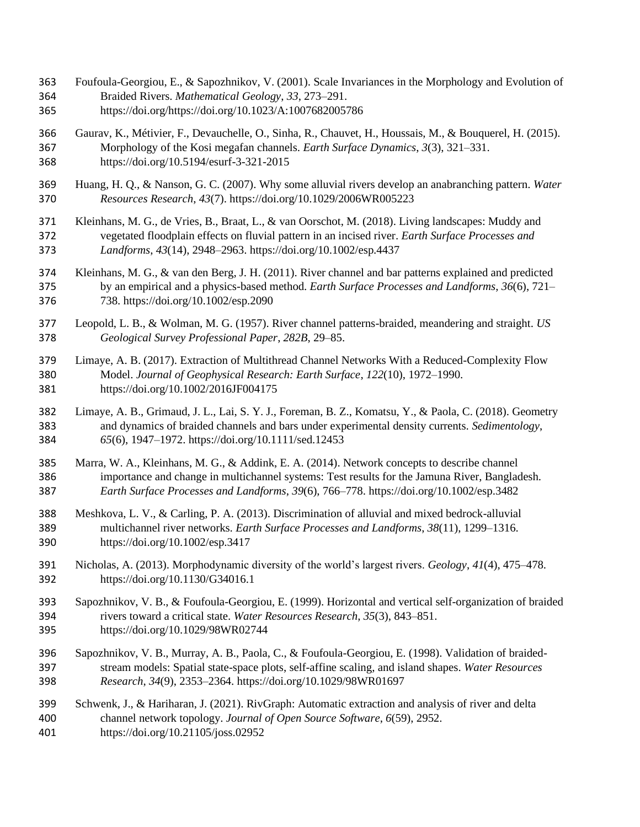- Foufoula-Georgiou, E., & Sapozhnikov, V. (2001). Scale Invariances in the Morphology and Evolution of Braided Rivers. *Mathematical Geology*, *33*, 273–291.
- https://doi.org/https://doi.org/10.1023/A:1007682005786
- Gaurav, K., Métivier, F., Devauchelle, O., Sinha, R., Chauvet, H., Houssais, M., & Bouquerel, H. (2015). Morphology of the Kosi megafan channels. *Earth Surface Dynamics*, *3*(3), 321–331. https://doi.org/10.5194/esurf-3-321-2015
- Huang, H. Q., & Nanson, G. C. (2007). Why some alluvial rivers develop an anabranching pattern. *Water Resources Research*, *43*(7). https://doi.org/10.1029/2006WR005223
- Kleinhans, M. G., de Vries, B., Braat, L., & van Oorschot, M. (2018). Living landscapes: Muddy and vegetated floodplain effects on fluvial pattern in an incised river. *Earth Surface Processes and Landforms*, *43*(14), 2948–2963. https://doi.org/10.1002/esp.4437
- Kleinhans, M. G., & van den Berg, J. H. (2011). River channel and bar patterns explained and predicted by an empirical and a physics-based method. *Earth Surface Processes and Landforms*, *36*(6), 721– 738. https://doi.org/10.1002/esp.2090
- Leopold, L. B., & Wolman, M. G. (1957). River channel patterns-braided, meandering and straight. *US Geological Survey Professional Paper*, *282B*, 29–85.
- Limaye, A. B. (2017). Extraction of Multithread Channel Networks With a Reduced-Complexity Flow Model. *Journal of Geophysical Research: Earth Surface*, *122*(10), 1972–1990. https://doi.org/10.1002/2016JF004175
- Limaye, A. B., Grimaud, J. L., Lai, S. Y. J., Foreman, B. Z., Komatsu, Y., & Paola, C. (2018). Geometry and dynamics of braided channels and bars under experimental density currents. *Sedimentology*, *65*(6), 1947–1972. https://doi.org/10.1111/sed.12453
- Marra, W. A., Kleinhans, M. G., & Addink, E. A. (2014). Network concepts to describe channel importance and change in multichannel systems: Test results for the Jamuna River, Bangladesh. *Earth Surface Processes and Landforms*, *39*(6), 766–778. https://doi.org/10.1002/esp.3482
- Meshkova, L. V., & Carling, P. A. (2013). Discrimination of alluvial and mixed bedrock-alluvial multichannel river networks. *Earth Surface Processes and Landforms*, *38*(11), 1299–1316. https://doi.org/10.1002/esp.3417
- Nicholas, A. (2013). Morphodynamic diversity of the world's largest rivers. *Geology*, *41*(4), 475–478. https://doi.org/10.1130/G34016.1
- Sapozhnikov, V. B., & Foufoula-Georgiou, E. (1999). Horizontal and vertical self-organization of braided rivers toward a critical state. *Water Resources Research*, *35*(3), 843–851. https://doi.org/10.1029/98WR02744
- Sapozhnikov, V. B., Murray, A. B., Paola, C., & Foufoula-Georgiou, E. (1998). Validation of braided- stream models: Spatial state-space plots, self-affine scaling, and island shapes. *Water Resources Research*, *34*(9), 2353–2364. https://doi.org/10.1029/98WR01697
- Schwenk, J., & Hariharan, J. (2021). RivGraph: Automatic extraction and analysis of river and delta channel network topology. *Journal of Open Source Software*, *6*(59), 2952. https://doi.org/10.21105/joss.02952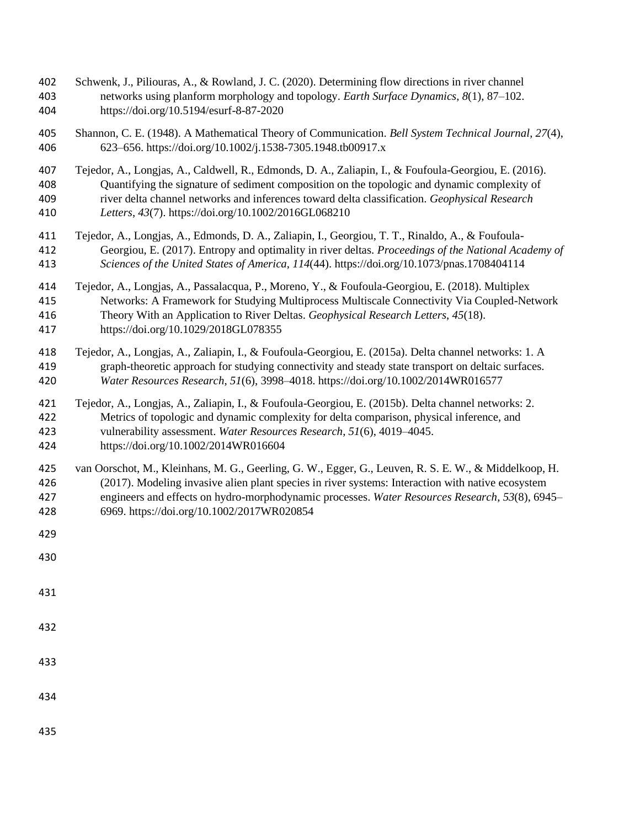- Schwenk, J., Piliouras, A., & Rowland, J. C. (2020). Determining flow directions in river channel networks using planform morphology and topology. *Earth Surface Dynamics*, *8*(1), 87–102. https://doi.org/10.5194/esurf-8-87-2020
- Shannon, C. E. (1948). A Mathematical Theory of Communication. *Bell System Technical Journal*, *27*(4), 623–656. https://doi.org/10.1002/j.1538-7305.1948.tb00917.x
- Tejedor, A., Longjas, A., Caldwell, R., Edmonds, D. A., Zaliapin, I., & Foufoula-Georgiou, E. (2016). Quantifying the signature of sediment composition on the topologic and dynamic complexity of river delta channel networks and inferences toward delta classification. *Geophysical Research Letters*, *43*(7). https://doi.org/10.1002/2016GL068210
- Tejedor, A., Longjas, A., Edmonds, D. A., Zaliapin, I., Georgiou, T. T., Rinaldo, A., & Foufoula- Georgiou, E. (2017). Entropy and optimality in river deltas. *Proceedings of the National Academy of Sciences of the United States of America*, *114*(44). https://doi.org/10.1073/pnas.1708404114
- Tejedor, A., Longjas, A., Passalacqua, P., Moreno, Y., & Foufoula-Georgiou, E. (2018). Multiplex Networks: A Framework for Studying Multiprocess Multiscale Connectivity Via Coupled-Network Theory With an Application to River Deltas. *Geophysical Research Letters*, *45*(18).
- https://doi.org/10.1029/2018GL078355
- Tejedor, A., Longjas, A., Zaliapin, I., & Foufoula-Georgiou, E. (2015a). Delta channel networks: 1. A graph-theoretic approach for studying connectivity and steady state transport on deltaic surfaces. *Water Resources Research*, *51*(6), 3998–4018. https://doi.org/10.1002/2014WR016577
- Tejedor, A., Longjas, A., Zaliapin, I., & Foufoula-Georgiou, E. (2015b). Delta channel networks: 2. Metrics of topologic and dynamic complexity for delta comparison, physical inference, and vulnerability assessment. *Water Resources Research*, *51*(6), 4019–4045.
- https://doi.org/10.1002/2014WR016604
- van Oorschot, M., Kleinhans, M. G., Geerling, G. W., Egger, G., Leuven, R. S. E. W., & Middelkoop, H. (2017). Modeling invasive alien plant species in river systems: Interaction with native ecosystem engineers and effects on hydro-morphodynamic processes. *Water Resources Research*, *53*(8), 6945– 6969. https://doi.org/10.1002/2017WR020854
- 
- 
- 
- 
- 
- 
-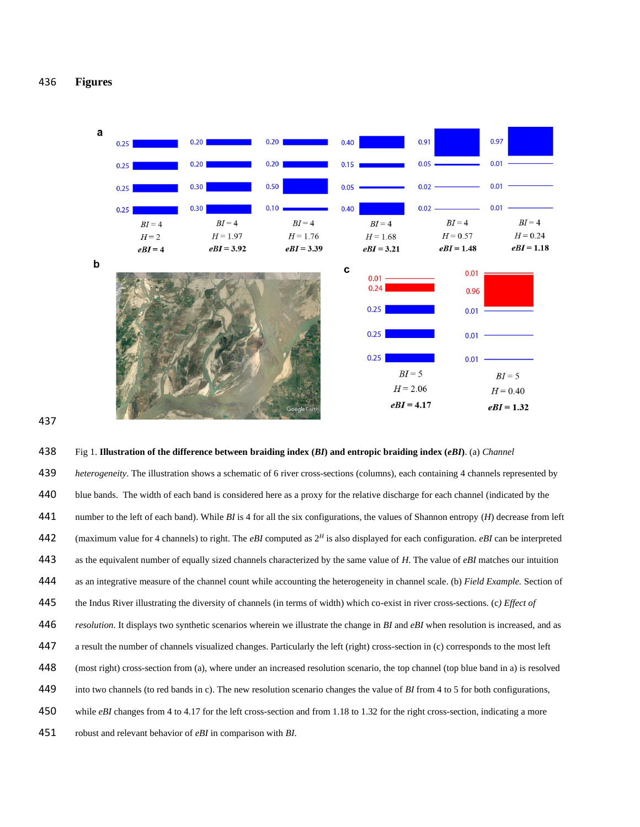**Figures**





# Fig 1. **Illustration of the difference between braiding index (***BI***) and entropic braiding index (***eBI***)**. (a) *Channel heterogeneity*. The illustration shows a schematic of 6 river cross-sections (columns), each containing 4 channels represented by 440 blue bands. The width of each band is considered here as a proxy for the relative discharge for each channel (indicated by the number to the left of each band). While *BI* is 4 for all the six configurations, the values of Shannon entropy (*H*) decrease from left 442 (maximum value for 4 channels) to right. The *eBI* computed as  $2^H$  is also displayed for each configuration. *eBI* can be interpreted as the equivalent number of equally sized channels characterized by the same value of *H*. The value of *eBI* matches our intuition as an integrative measure of the channel count while accounting the heterogeneity in channel scale. (b) *Field Example.* Section of the Indus River illustrating the diversity of channels (in terms of width) which co-exist in river cross-sections. (c*) Effect of resolution*. It displays two synthetic scenarios wherein we illustrate the change in *BI* and *eBI* when resolution is increased, and as a result the number of channels visualized changes. Particularly the left (right) cross-section in (c) corresponds to the most left (most right) cross-section from (a), where under an increased resolution scenario, the top channel (top blue band in a) is resolved into two channels (to red bands in c). The new resolution scenario changes the value of *BI* from 4 to 5 for both configurations, 450 while *eBI* changes from 4 to 4.17 for the left cross-section and from 1.18 to 1.32 for the right cross-section, indicating a more robust and relevant behavior of *eBI* in comparison with *BI*.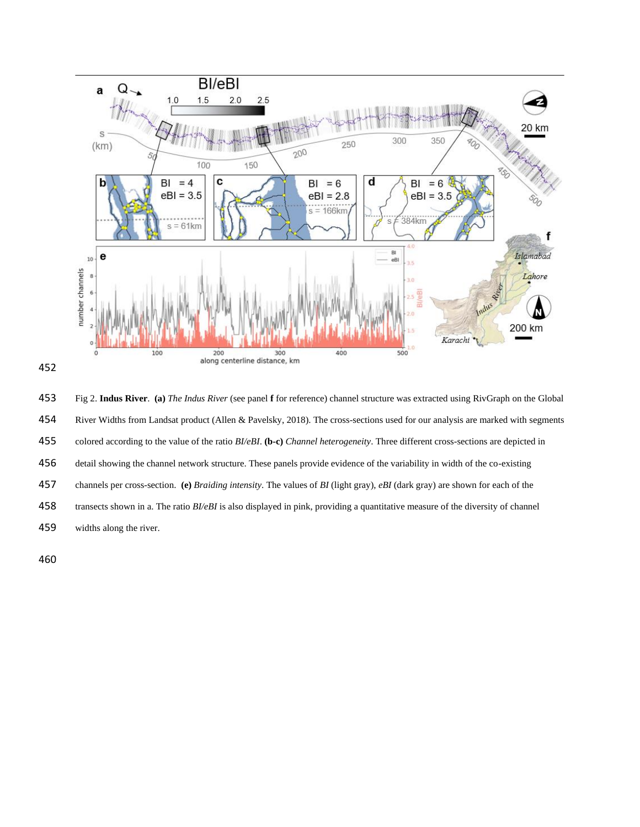

 Fig 2. **Indus River**. **(a)** *The Indus River* (see panel **f** for reference) channel structure was extracted using RivGraph on the Global 454 River Widths from Landsat product (Allen & Pavelsky, 2018). The cross-sections used for our analysis are marked with segments colored according to the value of the ratio *BI/eBI*. **(b-c)** *Channel heterogeneity*. Three different cross-sections are depicted in detail showing the channel network structure. These panels provide evidence of the variability in width of the co-existing channels per cross-section. **(e)** *Braiding intensity*. The values of *BI* (light gray), *eBI* (dark gray) are shown for each of the transects shown in a. The ratio *BI/eBI* is also displayed in pink, providing a quantitative measure of the diversity of channel widths along the river.